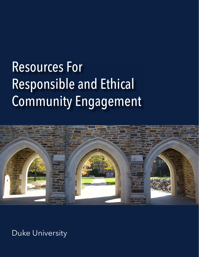# Resources For Responsible and Ethical Community Engagement



Duke University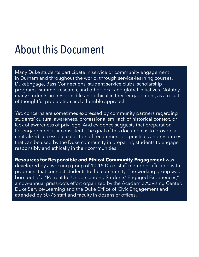### About this Document

Many Duke students participate in service or community engagement in Durham and throughout the world, through service-learning courses, DukeEngage, Bass Connections, student service clubs, scholarship programs, summer research, and other local and global initiatives. Notably, many students are responsible and ethical in their engagement, as a result of thoughtful preparation and a humble approach.

Yet, concerns are sometimes expressed by community partners regarding students' cultural awareness, professionalism, lack of historical context, or lack of awareness of privilege. And evidence suggests that preparation for engagement is inconsistent. The goal of this document is to provide a centralized, accessible collection of recommended practices and resources that can be used by the Duke community in preparing students to engage responsibly and ethically in their communities.

**Resources for Responsible and Ethical Community Engagement** was developed by a working group of 10-15 Duke staff members affiliated with programs that connect students to the community. The working group was born out of a "Retreat for Understanding Students' Engaged Experiences," a now-annual grassroots effort organized by the Academic Advising Center, Duke Service-Learning and the Duke Office of Civic Engagement and attended by 50-75 staff and faculty in dozens of offices.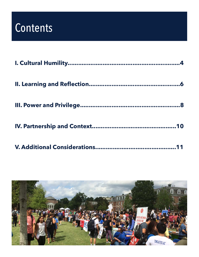### **Contents**

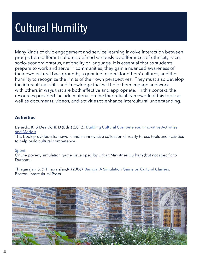# Cultural Humility

Many kinds of civic engagement and service learning involve interaction between groups from different cultures, defined variously by differences of ethnicity, race, socio-economic status, nationality or language. It is essential that as students prepare to work and serve in communities, they gain a nuanced awareness of their own cultural backgrounds, a genuine respect for others' cultures, and the humility to recognize the limits of their own perspectives. They must also develop the intercultural skills and knowledge that will help them engage and work with others in ways that are both effective and appropriate. In this context, the resources provided include material on the theoretical framework of this topic as well as documents, videos, and activities to enhance intercultural understanding.

#### **Activities**

Berardo, K. & Deardorff, D (Eds.) (2012). [Building Cultural Competence: Innovative Activities](https://www.amazon.com/Building-Cultural-Competence-Innovative-Activities/dp/1579228046)  [and Models.](https://www.amazon.com/Building-Cultural-Competence-Innovative-Activities/dp/1579228046)

This book provides a framework and an innovative collection of ready-to-use tools and activities to help build cultural competence.

#### [Spent](http://www.playspent.org/)

Online poverty simulation game developed by Urban Ministries Durham (but not specific to Durham).

Thiagarajan, S. & Thiagarajan,R. (2006). [Barnga: A Simulation Game on Cultural Clashes](https://www.amazon.com/Barnga-Simulation-Cultural-Clashes-Anniversary/dp/1931930309). Boston: Intercultural Press.

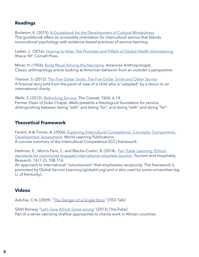#### **Readings**

Burleson, K. (2015). [A Guidebook for the Development of Cultural Mindedness](http://www.interculturalservice.org/online-guidebook/) This guidebook offers an accessible orientation for intercultural service that blends sociocultural psychology with evidence-based practices of service-learning.

Lasker, J. (2016). [Hoping to Help: The Promises and Pitfalls of Global Health Volunteering](https://digitalcommons.ilr.cornell.edu/cgi/viewcontent.cgi?referer=&httpsredir=1&article=1114&context=books). Ithaca, NY: Cornell Press.

Miner, H. (1956). [Body Ritual Among the Nacirema.](https://www.sfu.ca/~palys/Miner-1956-BodyRitualAmongTheNacirema.pdf) American Anthropologist. Classic anthropology article looking at American behavior from an outsider's perspective.

Tharoor, S. (2012). [The Five-Dollar Smile. The Five Dollar Smile and Other Stories](https://www.amazon.com/Five-Dollar-Smile-Other-Stories/dp/1611454093) A fictional story told from the point of view of a child who is "adopted" by a donor to an international charity.

Wells. S. (2013). [Rethinking Service.](http://thecresset.org/2013/Easter/Wells_E2013.html) The Cresset, 76(4), 6-14. Former Dean of Duke Chapel, Wells presents a theological foundation for service, distinguishing between being "with" and being "for", and doing "with" and doing "for".

#### **Theoretical Framework**

Fantini, A & Tirmizi, A. (2006). [Exploring Intercultural Competence: Concepts, Components,](http://digitalcollections.sit.edu/cgi/viewcontent.cgi?article=1001&context=worldlearning_publications)  [Development, Assessment](http://digitalcollections.sit.edu/cgi/viewcontent.cgi?article=1001&context=worldlearning_publications). World Learning Publications. A concise summary of the Intercultural Competence (ICC) framework.

Hartman, E.; Morris Paris, C. and Blache-Coehn, B. (2014). [Fair Trade Learning: Ethical](http://journals.sagepub.com/doi/pdf/10.1177/1467358414529443)  [standards for community-engaged international volunteer tourism.](http://journals.sagepub.com/doi/pdf/10.1177/1467358414529443) Tourism and Hospitality Research, 14 (1-2), 108-116.

An approach to international "voluntourism" that emphasizes reciprocity. The framework is promoted by Global Service Learning (globalsl.org) and is also used by some universities (eg U. of Kentucky).

#### **Videos**

Adichie, C.N. (2009). "[The Danger of a Single Story](https://www.ted.com/talks/chimamanda_adichie_the_danger_of_a_single_story?nolanguage=enhttp%3A)." [TED Talk]

SAIH Norway "[Let's Save Africa! Gone wrong"](https://www.youtube.com/watch?v=xbqA6o8_WC0&feature=youtu.be) (2013). [YouTube] Part of a series satirizing shallow approaches to charity work in African countries.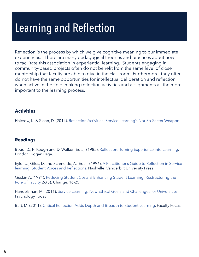## Learning and Reflection

Reflection is the process by which we give cognitive meaning to our immediate experiences. There are many pedagogical theories and practices about how to facilitate this association in experiential learning. Students engaging in community-based projects often do not benefit from the same level of close mentorship that faculty are able to give in the classroom. Furthermore, they often do not have the same opportunities for intellectual deliberation and reflection when active in the field, making reflection activities and assignments all the more important to the learning process.

#### **Activities**

Halcrow, K. & Sloan, D. (2014). [Reflection Activities: Service-Learning's Not-So-Secret Weapon](https://sites.duke.edu/responsibleengagement/files/2015/04/Reflection-Activities-for-All-Classrooms.pdf)

#### **Readings**

Boud, D., R. Keogh and D. Walker (Eds.). (1985). [Reflection: Turning Experience into Learning](https://www.amazon.com/Reflection-Turning-Experience-into-Learning/dp/1138984825). London: Kogan Page.

Eyler, J., Giles, D. and Schmeide, A. (Eds.). (1996). [A Practitioner's Guide to Reflection in Service](https://www.amazon.com/practitioners-guide-reflection-service-learning-reflections/dp/B0006QRSV2)[learning: Student Voices and Reflections](https://www.amazon.com/practitioners-guide-reflection-service-learning-reflections/dp/B0006QRSV2). Nashville: Vanderbilt University Press

Guskin A. (1994). R[educing Student Costs & Enhancing Student Learning: Restructuring the](https://www.tandfonline.com/doi/abs/10.1080/00091383.1994.10544646?journalCode=vchn20)  [Role of Faculty](https://www.tandfonline.com/doi/abs/10.1080/00091383.1994.10544646?journalCode=vchn20) 26(5): Change. 16-25.

Handelsman, M. (2011). [Service Learning: New Ethical Goals and Challenges for Universities.](https://www.psychologytoday.com/us/blog/the-ethical-professor/201104/service-learning-new-ethical-goals-and-challenges-universities) Psychology Today.

Bart, M. (2011). [Critical Reflection Adds Depth and Breadth to Student Learning](https://www.facultyfocus.com/articles/teaching-and-learning/critical-reflection-adds-depth-and-breadth-to-student-learning/). Faculty Focus.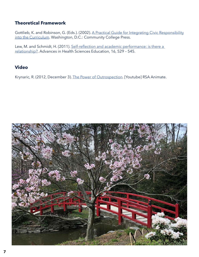#### **Theoretical Framework**

Gottlieb, K. and Robinson, G. (Eds.). (2002). A Practical Guide for Integrating Civic Responsibility [into the Curriculum.](https://sites.duke.edu/responsibleengagement/files/2015/04/integratingcivicresponsibility.original.pdf) Washington, D.C.: Community College Press.

Lew, M. and Schmidt, H. (2011). [Self-reflection and academic performance: is there a](https://sites.duke.edu/responsibleengagement/files/2015/04/Self-reflection-and-academic-performance.pdf)  [relationship?](https://sites.duke.edu/responsibleengagement/files/2015/04/Self-reflection-and-academic-performance.pdf). Advances in Health Sciences Education, 16, 529 – 545.

#### **Video**

Krynaric, R. (2012, December 3). [The Power of Outrospection](https://www.youtube.com/watch?v=BG46IwVfSu8&feature=youtu.be). [Youtube] RSA Animate.

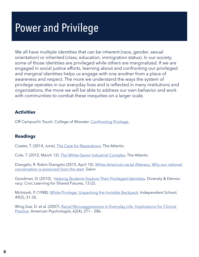### Power and Privilege

We all have multiple identities that can be inherent (race, gender, sexual orientation) or inherited (class, education, immigration status). In our society, some of those identities are privileged while others are marginalized. If we are engaged in social justice efforts, learning about and confronting our privileged and marginal identities helps us engage with one another from a place of awareness and respect. The more we understand the ways the system of privilege operates in our everyday lives and is reflected in many institutions and organizations, the more we will be able to address our own behavior and work with communities to combat these inequities on a larger scale.

#### **Activities**

Off Campus/In Touch. College of Wooster. [Confronting Privilege](http://off-campus.weebly.com/confronting-privilege.html).

#### **Readings**

Coates, T. (2014, June). [The Case for Reparations.](https://www.theatlantic.com/magazine/archive/2014/06/the-case-for-reparations/361631/) The Atlantic.

Cole, T. (2012, March 12). [The White-Savior Industrial Complex](https://www.theatlantic.com/international/archive/2012/03/the-white-savior-industrial-complex/254843/). The Atlantic.

Diangelo, R. Robin Diangelo (2015, April 10). [White America's racial illiteracy: Why our national](https://www.salon.com/2015/04/10/white_americas_racial_illiteracy_why_our_national_conversation_is_poisoned_from_the_start_partner/)  [conversation is poisoned from the start](https://www.salon.com/2015/04/10/white_americas_racial_illiteracy_why_our_national_conversation_is_poisoned_from_the_start_partner/). Salon

Goodman, D. (2010). [Helping Students Explore Their Privileged Identities.](http://www.diversityweb.org/DiversityDemocracy/vol13no2/goodman.cfm) Diversity & Democracy: Civic Learning for Shared Futures, 13 (2).

McIntosh, P. (1988). [White Privilege: Unpacking the Invisible Backpack](http://psycnet.apa.org/record/2003-06587-018). Independent School, 49(2), 31-35.

Wing Sue, D. et al. (2007). Racial Microaggressions in Everyday Life: Implications for Clinical [Practice.](http://world-trust.org/wp-content/uploads/2011/05/7-Racial-Microagressions-in-Everyday-Life.pdf) American Psychologist, 62(4), 271 – 286.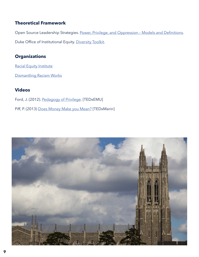#### **Theoretical Framework**

Open Source Leadership Strategies. [Power, Privilege, and Oppression – Models and Definitions](http://opensourceleadership.com/documents/DO%20Definitions.pdf). Duke Office of Institutional Equity. [Diversity Toolkit](https://oie.duke.edu/knowledge-base/toolkit).

#### **Organizations**

[Racial Equity Institute](https://www.racialequityinstitute.org/)

[Dismantling Racism Works](http://www.dismantlingracism.org/)

#### **Videos**

- Ford, J. (2012). [Pedagogy of Privilege.](https://ed.ted.com/on/KUiceH90) [TEDxEMU]
- Piff, P. (2013) [Does Money Make you Mean?](https://www.ted.com/talks/paul_piff_does_money_make_you_mean?language=en) [TEDxMarin]

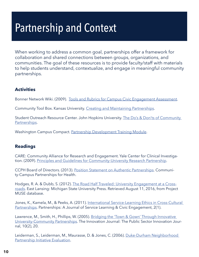### Partnership and Context

When working to address a common goal, partnerships offer a framework for collaboration and shared connections between groups, organizations, and communities. The goal of these resources is to provide faculty/staff with materials to help students understand, contextualize, and engage in meaningful community partnerships.

#### **Activities**

Bonner Network Wiki. (2009). [Tools and Rubrics for Campus Civic Engagement Assessment.](http://bonnernetwork.pbworks.com/w/page/13113211/Tools%20and%20Rubrics%20for%20Campus%20Civic%20Engagement%20Assessment)

Community Tool Box. Kansas University. [Creating and Maintaining Partnerships.](https://ctb.ku.edu/en/creating-and-maintaining-partnerships)

Student Outreach Resource Center. John Hopkins University. The Do's & Don'ts of Community [Partnerships](http://source.jhu.edu/publications-and-resources/DosAndDontsOfPartnerships.pdf).

Washington Campus Compact. [Partnership Development Training Module.](http://www.wacampuscompact.org/media/publications/documents/Partnership%20Development.pdf)

#### **Readings**

CARE: Community Alliance for Research and Engagement. Yale Center for Clinical Investigation. (2009). [Principles and Guidelines for Community-University Research Partnership.](https://medicine.yale.edu/email/documents/Ethical_Principles_Guidelines_22799_284_29562_v1.pdf)

CCPH Board of Directors. (2013). [Position Statement on Authentic Partnerships.](https://ccph.memberclicks.net/principles-of-partnership) Community-Campus Partnerships for Health.

Hodges, R. A. & Dubb, S. (2012). [The Road Half Traveled: University Engagement at a Cross](http://muse.jhu.edu/book/17269)[roads.](http://muse.jhu.edu/book/17269) East Lansing: Michigan State University Press. Retrieved August 11, 2016, from Project MUSE database.

Jones, K., Kamela, M., & Peeks, A. (2011). [International Service-Learning Ethics in Cross-Cultural](https://sites.duke.edu/responsibleengagement/files/2015/04/Intl-SL-Ethics-in-Cross-Cultural-Patnerships-2.pdf)  [Partnerships](https://sites.duke.edu/responsibleengagement/files/2015/04/Intl-SL-Ethics-in-Cross-Cultural-Patnerships-2.pdf). Partnerships: A Journal of Service Learning & Civic Engagement, 2(1).

Lawrence, M., Smith, H., Phillips, W. (2005). [Bridging the 'Town & Gown' Through Innovative](https://community-wealth.org/sites/clone.community-wealth.org/files/downloads/article-martin-et-al.pdf)  [University-Community Partnerships](https://community-wealth.org/sites/clone.community-wealth.org/files/downloads/article-martin-et-al.pdf). The Innovation Journal: The Public Sector Innovation Journal, 10(2), 20.

Leiderman, S., Leiderman, M., Maurasse, D. & Jones, C. (2006). [Duke-Durham Neighborhood](https://community.duke.edu/wp-content/uploads/2014/03/2006-DDNP-Evaluation.pdf)  [Partnership Initiative Evaluation](https://community.duke.edu/wp-content/uploads/2014/03/2006-DDNP-Evaluation.pdf).